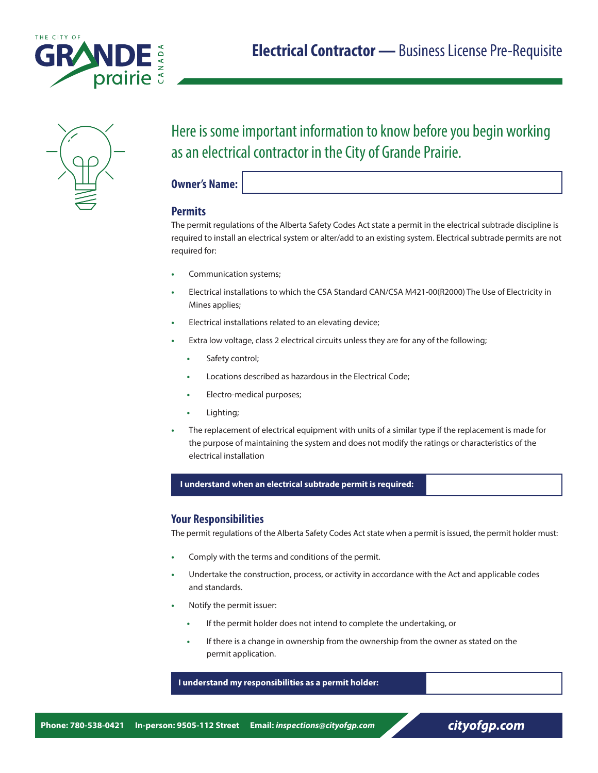



# Here is some important information to know before you begin working as an electrical contractor in the City of Grande Prairie.

**Owner's Name:**

## **Permits**

The permit regulations of the Alberta Safety Codes Act state a permit in the electrical subtrade discipline is required to install an electrical system or alter/add to an existing system. Electrical subtrade permits are not required for:

- **•** Communication systems;
- **•** Electrical installations to which the CSA Standard CAN/CSA M421-00(R2000) The Use of Electricity in Mines applies;
- **•** Electrical installations related to an elevating device;
- **•** Extra low voltage, class 2 electrical circuits unless they are for any of the following;
	- **•** Safety control;
	- **•** Locations described as hazardous in the Electrical Code;
	- **•** Electro-medical purposes;
	- **•** Lighting;
- **•** The replacement of electrical equipment with units of a similar type if the replacement is made for the purpose of maintaining the system and does not modify the ratings or characteristics of the electrical installation

#### **I understand when an electrical subtrade permit is required:**

## **Your Responsibilities**

The permit regulations of the Alberta Safety Codes Act state when a permit is issued, the permit holder must:

- **•** Comply with the terms and conditions of the permit.
- **•** Undertake the construction, process, or activity in accordance with the Act and applicable codes and standards.
- **•** Notify the permit issuer:
	- **•** If the permit holder does not intend to complete the undertaking, or
	- **•** If there is a change in ownership from the ownership from the owner as stated on the permit application.

 **I understand my responsibilities as a permit holder:**